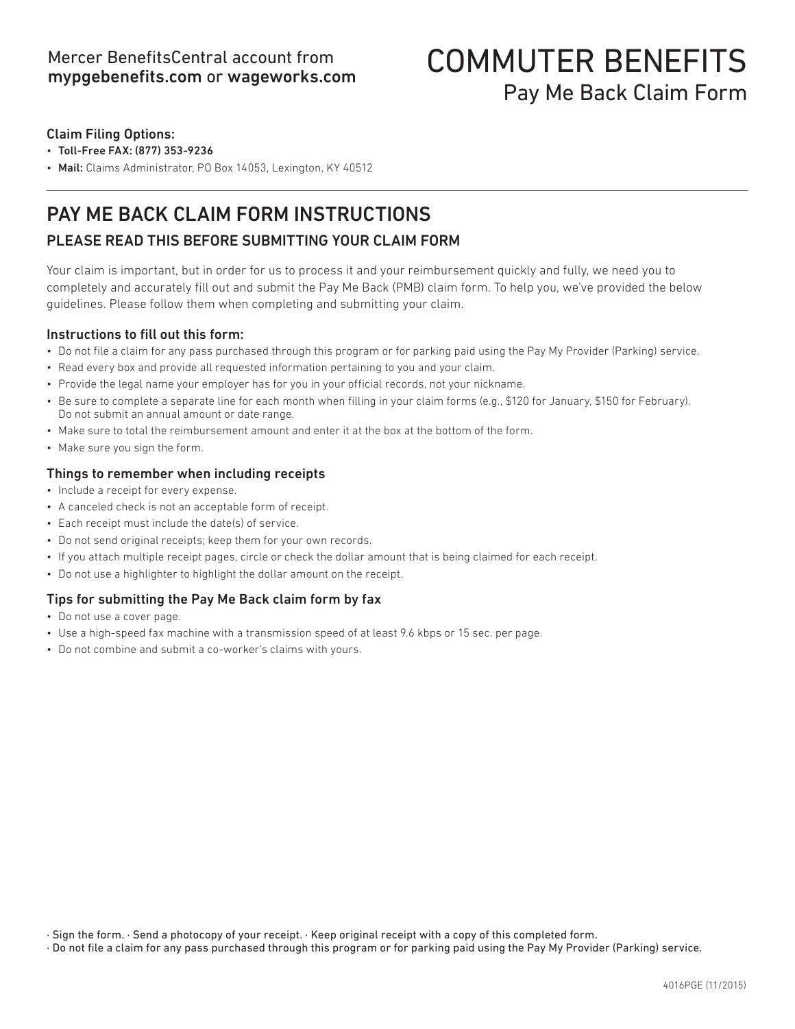## COMMUTER BENEFITS Pay Me Back Claim Form

## Claim Filing Options:

- Toll-Free FAX: (877) 353-9236
- Mail: Claims Administrator, PO Box 14053, Lexington, KY 40512

## PAY ME BACK CLAIM FORM INSTRUCTIONS

## PLEASE READ THIS BEFORE SUBMITTING YOUR CLAIM FORM

Your claim is important, but in order for us to process it and your reimbursement quickly and fully, we need you to completely and accurately fill out and submit the Pay Me Back (PMB) claim form. To help you, we've provided the below guidelines. Please follow them when completing and submitting your claim.

## Instructions to fill out this form:

- Do not file a claim for any pass purchased through this program or for parking paid using the Pay My Provider (Parking) service.
- Read every box and provide all requested information pertaining to you and your claim.
- Provide the legal name your employer has for you in your official records, not your nickname.
- Be sure to complete a separate line for each month when filling in your claim forms (e.g., \$120 for January, \$150 for February). Do not submit an annual amount or date range.
- Make sure to total the reimbursement amount and enter it at the box at the bottom of the form.
- Make sure you sign the form.

## Things to remember when including receipts

- Include a receipt for every expense.
- A canceled check is not an acceptable form of receipt.
- Each receipt must include the date(s) of service.
- Do not send original receipts; keep them for your own records.
- If you attach multiple receipt pages, circle or check the dollar amount that is being claimed for each receipt.
- Do not use a highlighter to highlight the dollar amount on the receipt.

## Tips for submitting the Pay Me Back claim form by fax

- Do not use a cover page.
- Use a high-speed fax machine with a transmission speed of at least 9.6 kbps or 15 sec. per page.
- Do not combine and submit a co-worker's claims with yours.

· Do not file a claim for any pass purchased through this program or for parking paid using the Pay My Provider (Parking) service.

<sup>·</sup> Sign the form. · Send a photocopy of your receipt. · Keep original receipt with a copy of this completed form.